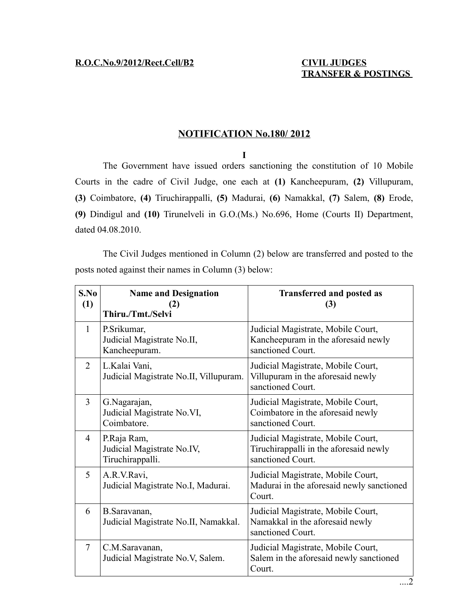# **NOTIFICATION No.180/ 2012**

**I**

The Government have issued orders sanctioning the constitution of 10 Mobile Courts in the cadre of Civil Judge, one each at **(1)** Kancheepuram, **(2)** Villupuram, **(3)** Coimbatore, **(4)** Tiruchirappalli, **(5)** Madurai, **(6)** Namakkal, **(7)** Salem, **(8)** Erode, **(9)** Dindigul and **(10)** Tirunelveli in G.O.(Ms.) No.696, Home (Courts II) Department, dated 04.08.2010.

The Civil Judges mentioned in Column (2) below are transferred and posted to the posts noted against their names in Column (3) below:

| S.No<br>(1)    | <b>Name and Designation</b><br>(2)<br>Thiru./Tmt./Selvi       | <b>Transferred and posted as</b><br>(3)                                                           |
|----------------|---------------------------------------------------------------|---------------------------------------------------------------------------------------------------|
| 1              | P.Srikumar,<br>Judicial Magistrate No.II,<br>Kancheepuram.    | Judicial Magistrate, Mobile Court,<br>Kancheepuram in the aforesaid newly<br>sanctioned Court.    |
| 2              | L.Kalai Vani,<br>Judicial Magistrate No.II, Villupuram.       | Judicial Magistrate, Mobile Court,<br>Villupuram in the aforesaid newly<br>sanctioned Court.      |
| $\overline{3}$ | G.Nagarajan,<br>Judicial Magistrate No.VI,<br>Coimbatore.     | Judicial Magistrate, Mobile Court,<br>Coimbatore in the aforesaid newly<br>sanctioned Court.      |
| $\overline{4}$ | P.Raja Ram,<br>Judicial Magistrate No.IV,<br>Tiruchirappalli. | Judicial Magistrate, Mobile Court,<br>Tiruchirappalli in the aforesaid newly<br>sanctioned Court. |
| 5              | A.R.V.Ravi,<br>Judicial Magistrate No.I, Madurai.             | Judicial Magistrate, Mobile Court,<br>Madurai in the aforesaid newly sanctioned<br>Court.         |
| 6              | B.Saravanan,<br>Judicial Magistrate No.II, Namakkal.          | Judicial Magistrate, Mobile Court,<br>Namakkal in the aforesaid newly<br>sanctioned Court.        |
| $\overline{7}$ | C.M.Saravanan,<br>Judicial Magistrate No.V, Salem.            | Judicial Magistrate, Mobile Court,<br>Salem in the aforesaid newly sanctioned<br>Court.           |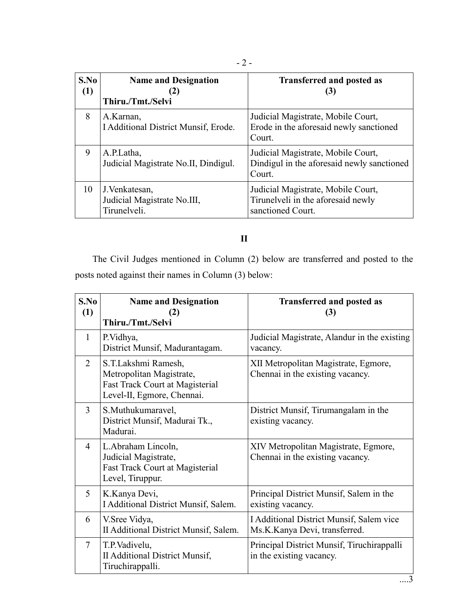| S.No<br>(1) | <b>Name and Designation</b><br>2)<br>Thiru./Tmt./Selvi        | <b>Transferred and posted as</b><br>(3)                                                       |
|-------------|---------------------------------------------------------------|-----------------------------------------------------------------------------------------------|
| 8           | A.Karnan,<br><b>I Additional District Munsif, Erode.</b>      | Judicial Magistrate, Mobile Court,<br>Erode in the aforesaid newly sanctioned<br>Court.       |
| 9           | A.P.Latha,<br>Judicial Magistrate No.II, Dindigul.            | Judicial Magistrate, Mobile Court,<br>Dindigul in the aforesaid newly sanctioned<br>Court.    |
| 10          | J. Venkatesan,<br>Judicial Magistrate No.III,<br>Tirunelveli. | Judicial Magistrate, Mobile Court,<br>Tirunelveli in the aforesaid newly<br>sanctioned Court. |

## **II**

The Civil Judges mentioned in Column (2) below are transferred and posted to the posts noted against their names in Column (3) below:

| S.No<br>(1)    | <b>Name and Designation</b><br>(2)<br>Thiru./Tmt./Selvi                                                                 | <b>Transferred and posted as</b><br>(3)                                   |
|----------------|-------------------------------------------------------------------------------------------------------------------------|---------------------------------------------------------------------------|
| $\mathbf{1}$   | P.Vidhya,<br>District Munsif, Madurantagam.                                                                             | Judicial Magistrate, Alandur in the existing<br>vacancy.                  |
| $\overline{2}$ | S.T.Lakshmi Ramesh,<br>Metropolitan Magistrate,<br><b>Fast Track Court at Magisterial</b><br>Level-II, Egmore, Chennai. | XII Metropolitan Magistrate, Egmore,<br>Chennai in the existing vacancy.  |
| 3              | S.Muthukumaravel,<br>District Munsif, Madurai Tk.,<br>Madurai.                                                          | District Munsif, Tirumangalam in the<br>existing vacancy.                 |
| $\overline{4}$ | L.Abraham Lincoln,<br>Judicial Magistrate,<br><b>Fast Track Court at Magisterial</b><br>Level, Tiruppur.                | XIV Metropolitan Magistrate, Egmore,<br>Chennai in the existing vacancy.  |
| 5              | K.Kanya Devi,<br>I Additional District Munsif, Salem.                                                                   | Principal District Munsif, Salem in the<br>existing vacancy.              |
| 6              | V. Sree Vidya,<br>II Additional District Munsif, Salem.                                                                 | I Additional District Munsif, Salem vice<br>Ms.K.Kanya Devi, transferred. |
| $\tau$         | T.P.Vadivelu,<br>II Additional District Munsif,<br>Tiruchirappalli.                                                     | Principal District Munsif, Tiruchirappalli<br>in the existing vacancy.    |
|                |                                                                                                                         |                                                                           |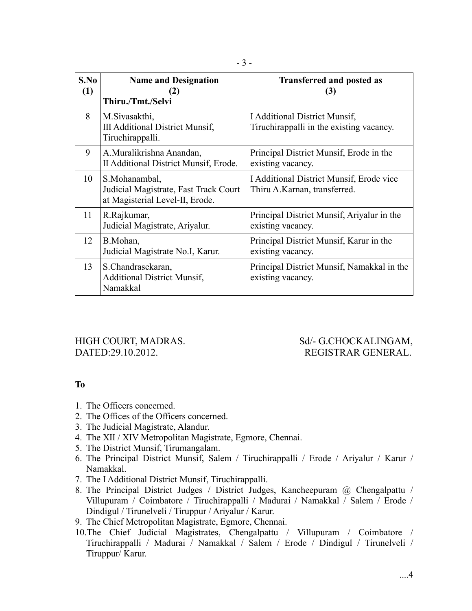| S.No<br>(1) | <b>Name and Designation</b><br>(2)<br>Thiru./Tmt./Selvi                                   | <b>Transferred and posted as</b><br>(3)                                          |
|-------------|-------------------------------------------------------------------------------------------|----------------------------------------------------------------------------------|
| 8           | M.Sivasakthi,<br>III Additional District Munsif,<br>Tiruchirappalli.                      | <b>I</b> Additional District Munsif,<br>Tiruchirappalli in the existing vacancy. |
| 9           | A.Muralikrishna Anandan,<br>II Additional District Munsif, Erode.                         | Principal District Munsif, Erode in the<br>existing vacancy.                     |
| 10          | S.Mohanambal,<br>Judicial Magistrate, Fast Track Court<br>at Magisterial Level-II, Erode. | I Additional District Munsif, Erode vice<br>Thiru A.Karnan, transferred.         |
| 11          | R.Rajkumar,<br>Judicial Magistrate, Ariyalur.                                             | Principal District Munsif, Ariyalur in the<br>existing vacancy.                  |
| 12          | B.Mohan,<br>Judicial Magistrate No.I, Karur.                                              | Principal District Munsif, Karur in the<br>existing vacancy.                     |
| 13          | S.Chandrasekaran,<br><b>Additional District Munsif,</b><br>Namakkal                       | Principal District Munsif, Namakkal in the<br>existing vacancy.                  |

### HIGH COURT, MADRAS. Sd/- G.CHOCKALINGAM, DATED:29.10.2012. REGISTRAR GENERAL.

## **To**

- 1. The Officers concerned.
- 2. The Offices of the Officers concerned.
- 3. The Judicial Magistrate, Alandur.
- 4. The XII / XIV Metropolitan Magistrate, Egmore, Chennai.
- 5. The District Munsif, Tirumangalam.
- 6. The Principal District Munsif, Salem / Tiruchirappalli / Erode / Ariyalur / Karur / Namakkal.
- 7. The I Additional District Munsif, Tiruchirappalli.
- 8. The Principal District Judges / District Judges, Kancheepuram @ Chengalpattu / Villupuram / Coimbatore / Tiruchirappalli / Madurai / Namakkal / Salem / Erode / Dindigul / Tirunelveli / Tiruppur / Ariyalur / Karur.
- 9. The Chief Metropolitan Magistrate, Egmore, Chennai.
- 10.The Chief Judicial Magistrates, Chengalpattu / Villupuram / Coimbatore / Tiruchirappalli / Madurai / Namakkal / Salem / Erode / Dindigul / Tirunelveli / Tiruppur/ Karur.